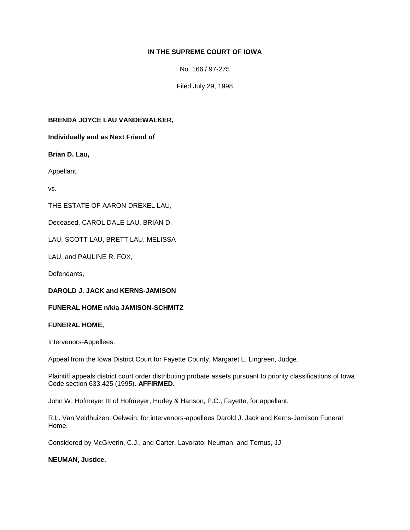# **IN THE SUPREME COURT OF IOWA**

No. 166 / 97-275

Filed July 29, 1998

## **BRENDA JOYCE LAU VANDEWALKER,**

**Individually and as Next Friend of** 

**Brian D. Lau,**

Appellant,

vs.

THE ESTATE OF AARON DREXEL LAU,

Deceased, CAROL DALE LAU, BRIAN D.

LAU, SCOTT LAU, BRETT LAU, MELISSA

LAU, and PAULINE R. FOX,

Defendants,

**DAROLD J. JACK and KERNS-JAMISON** 

#### **FUNERAL HOME n/k/a JAMISON-SCHMITZ**

#### **FUNERAL HOME,**

Intervenors-Appellees.

Appeal from the Iowa District Court for Fayette County, Margaret L. Lingreen, Judge.

Plaintiff appeals district court order distributing probate assets pursuant to priority classifications of Iowa Code section 633.425 (1995). **AFFIRMED.**

John W. Hofmeyer III of Hofmeyer, Hurley & Hanson, P.C., Fayette, for appellant.

R.L. Van Veldhuizen, Oelwein, for intervenors-appellees Darold J. Jack and Kerns-Jamison Funeral Home.

Considered by McGiverin, C.J., and Carter, Lavorato, Neuman, and Ternus, JJ.

#### **NEUMAN, Justice.**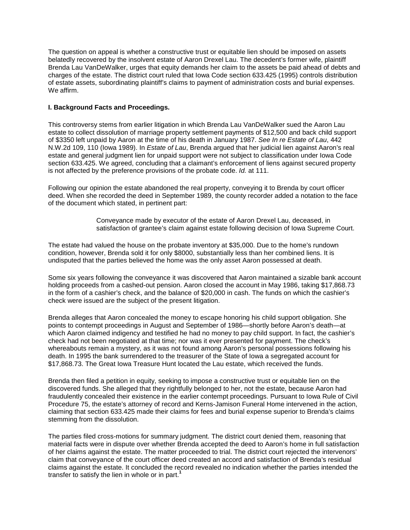The question on appeal is whether a constructive trust or equitable lien should be imposed on assets belatedly recovered by the insolvent estate of Aaron Drexel Lau. The decedent's former wife, plaintiff Brenda Lau VanDeWalker, urges that equity demands her claim to the assets be paid ahead of debts and charges of the estate. The district court ruled that Iowa Code section 633.425 (1995) controls distribution of estate assets, subordinating plaintiff's claims to payment of administration costs and burial expenses. We affirm.

## **I. Background Facts and Proceedings.**

This controversy stems from earlier litigation in which Brenda Lau VanDeWalker sued the Aaron Lau estate to collect dissolution of marriage property settlement payments of \$12,500 and back child support of \$3350 left unpaid by Aaron at the time of his death in January 1987. *See In re Estate of Lau*, 442 N.W.2d 109, 110 (Iowa 1989). In *Estate of Lau*, Brenda argued that her judicial lien against Aaron's real estate and general judgment lien for unpaid support were not subject to classification under Iowa Code section 633.425. We agreed, concluding that a claimant's enforcement of liens against secured property is not affected by the preference provisions of the probate code. *Id.* at 111.

Following our opinion the estate abandoned the real property, conveying it to Brenda by court officer deed. When she recorded the deed in September 1989, the county recorder added a notation to the face of the document which stated, in pertinent part:

> Conveyance made by executor of the estate of Aaron Drexel Lau, deceased, in satisfaction of grantee's claim against estate following decision of Iowa Supreme Court.

The estate had valued the house on the probate inventory at \$35,000. Due to the home's rundown condition, however, Brenda sold it for only \$8000, substantially less than her combined liens. It is undisputed that the parties believed the home was the only asset Aaron possessed at death.

Some six years following the conveyance it was discovered that Aaron maintained a sizable bank account holding proceeds from a cashed-out pension. Aaron closed the account in May 1986, taking \$17,868.73 in the form of a cashier's check, and the balance of \$20,000 in cash. The funds on which the cashier's check were issued are the subject of the present litigation.

Brenda alleges that Aaron concealed the money to escape honoring his child support obligation. She points to contempt proceedings in August and September of 1986—shortly before Aaron's death—at which Aaron claimed indigency and testified he had no money to pay child support. In fact, the cashier's check had not been negotiated at that time; nor was it ever presented for payment. The check's whereabouts remain a mystery, as it was not found among Aaron's personal possessions following his death. In 1995 the bank surrendered to the treasurer of the State of Iowa a segregated account for \$17,868.73. The Great Iowa Treasure Hunt located the Lau estate, which received the funds.

Brenda then filed a petition in equity, seeking to impose a constructive trust or equitable lien on the discovered funds. She alleged that they rightfully belonged to her, not the estate, because Aaron had fraudulently concealed their existence in the earlier contempt proceedings. Pursuant to Iowa Rule of Civil Procedure 75, the estate's attorney of record and Kerns-Jamison Funeral Home intervened in the action, claiming that section 633.425 made their claims for fees and burial expense superior to Brenda's claims stemming from the dissolution.

The parties filed cross-motions for summary judgment. The district court denied them, reasoning that material facts were in dispute over whether Brenda accepted the deed to Aaron's home in full satisfaction of her claims against the estate. The matter proceeded to trial. The district court rejected the intervenors' claim that conveyance of the court officer deed created an accord and satisfaction of Brenda's residual claims against the estate. It concluded the record revealed no indication whether the parties intended the transfer to satisfy the lien in whole or in part.**<sup>1</sup>**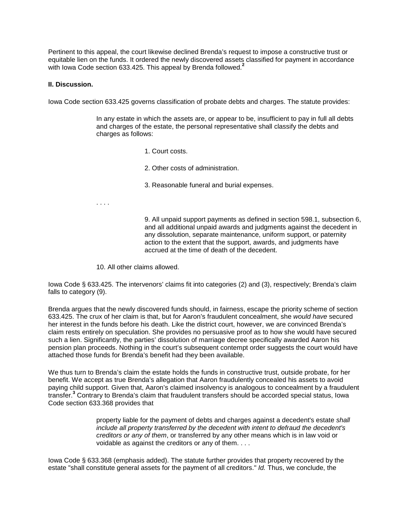Pertinent to this appeal, the court likewise declined Brenda's request to impose a constructive trust or equitable lien on the funds. It ordered the newly discovered assets classified for payment in accordance with Iowa Code section 633.425. This appeal by Brenda followed.**<sup>2</sup>**

#### **II. Discussion.**

Iowa Code section 633.425 governs classification of probate debts and charges. The statute provides:

In any estate in which the assets are, or appear to be, insufficient to pay in full all debts and charges of the estate, the personal representative shall classify the debts and charges as follows:

- 1. Court costs.
- 2. Other costs of administration.
- 3. Reasonable funeral and burial expenses.
- . . . .

9. All unpaid support payments as defined in section 598.1, subsection 6, and all additional unpaid awards and judgments against the decedent in any dissolution, separate maintenance, uniform support, or paternity action to the extent that the support, awards, and judgments have accrued at the time of death of the decedent.

10. All other claims allowed.

Iowa Code § 633.425. The intervenors' claims fit into categories (2) and (3), respectively; Brenda's claim falls to category (9).

Brenda argues that the newly discovered funds should, in fairness, escape the priority scheme of section 633.425. The crux of her claim is that, but for Aaron's fraudulent concealment, she *would have* secured her interest in the funds before his death. Like the district court, however, we are convinced Brenda's claim rests entirely on speculation. She provides no persuasive proof as to how she would have secured such a lien. Significantly, the parties' dissolution of marriage decree specifically awarded Aaron his pension plan proceeds. Nothing in the court's subsequent contempt order suggests the court would have attached those funds for Brenda's benefit had they been available.

We thus turn to Brenda's claim the estate holds the funds in constructive trust, outside probate, for her benefit. We accept as true Brenda's allegation that Aaron fraudulently concealed his assets to avoid paying child support. Given that, Aaron's claimed insolvency is analogous to concealment by a fraudulent transfer.**<sup>3</sup>** Contrary to Brenda's claim that fraudulent transfers should be accorded special status, Iowa Code section 633.368 provides that

> property liable for the payment of debts and charges against a decedent's estate *shall include all property transferred by the decedent with intent to defraud the decedent's creditors or any of them*, or transferred by any other means which is in law void or voidable as against the creditors or any of them. . . .

Iowa Code § 633.368 (emphasis added). The statute further provides that property recovered by the estate "shall constitute general assets for the payment of all creditors." *Id.* Thus, we conclude, the